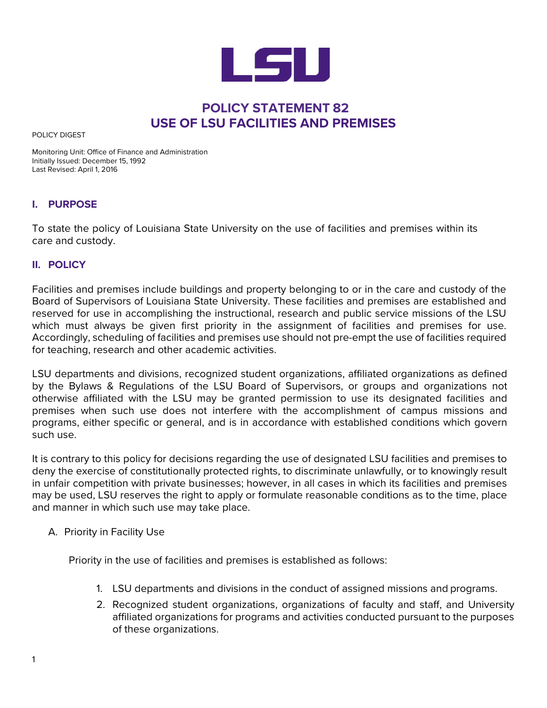

## **POLICY STATEMENT 82 USE OF LSU FACILITIES AND PREMISES**

POLICY DIGEST

Monitoring Unit: Office of Finance and Administration Initially Issued: December 15, 1992 Last Revised: April 1, 2016

## **I. PURPOSE**

To state the policy of Louisiana State University on the use of facilities and premises within its care and custody.

## **II. POLICY**

Facilities and premises include buildings and property belonging to or in the care and custody of the Board of Supervisors of Louisiana State University. These facilities and premises are established and reserved for use in accomplishing the instructional, research and public service missions of the LSU which must always be given first priority in the assignment of facilities and premises for use. Accordingly, scheduling of facilities and premises use should not pre-empt the use of facilities required for teaching, research and other academic activities.

LSU departments and divisions, recognized student organizations, affiliated organizations as defined by the Bylaws & Regulations of the LSU Board of Supervisors, or groups and organizations not otherwise affiliated with the LSU may be granted permission to use its designated facilities and premises when such use does not interfere with the accomplishment of campus missions and programs, either specific or general, and is in accordance with established conditions which govern such use.

It is contrary to this policy for decisions regarding the use of designated LSU facilities and premises to deny the exercise of constitutionally protected rights, to discriminate unlawfully, or to knowingly result in unfair competition with private businesses; however, in all cases in which its facilities and premises may be used, LSU reserves the right to apply or formulate reasonable conditions as to the time, place and manner in which such use may take place.

A. Priority in Facility Use

Priority in the use of facilities and premises is established as follows:

- 1. LSU departments and divisions in the conduct of assigned missions and programs.
- 2. Recognized student organizations, organizations of faculty and staff, and University affiliated organizations for programs and activities conducted pursuant to the purposes of these organizations.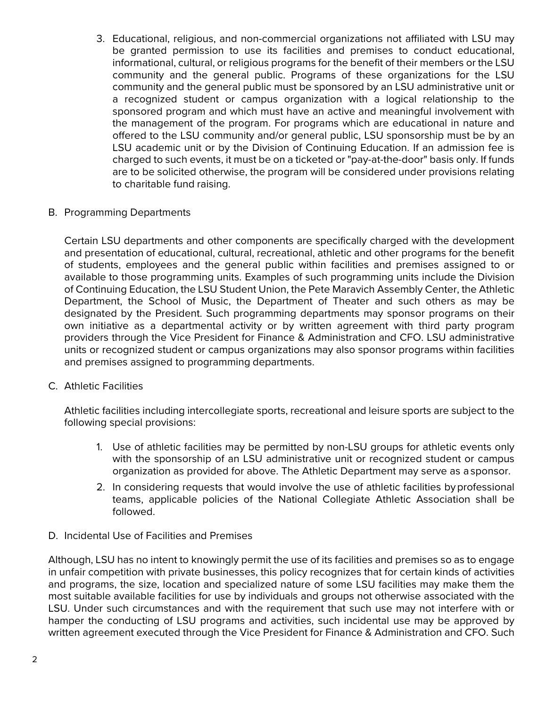- 3. Educational, religious, and non-commercial organizations not affiliated with LSU may be granted permission to use its facilities and premises to conduct educational, informational, cultural, or religious programs for the benefit of their members or the LSU community and the general public. Programs of these organizations for the LSU community and the general public must be sponsored by an LSU administrative unit or a recognized student or campus organization with a logical relationship to the sponsored program and which must have an active and meaningful involvement with the management of the program. For programs which are educational in nature and offered to the LSU community and/or general public, LSU sponsorship must be by an LSU academic unit or by the Division of Continuing Education. If an admission fee is charged to such events, it must be on a ticketed or "pay-at-the-door" basis only. If funds are to be solicited otherwise, the program will be considered under provisions relating to charitable fund raising.
- B. Programming Departments

Certain LSU departments and other components are specifically charged with the development and presentation of educational, cultural, recreational, athletic and other programs for the benefit of students, employees and the general public within facilities and premises assigned to or available to those programming units. Examples of such programming units include the Division of Continuing Education, the LSU Student Union, the Pete Maravich Assembly Center, the Athletic Department, the School of Music, the Department of Theater and such others as may be designated by the President. Such programming departments may sponsor programs on their own initiative as a departmental activity or by written agreement with third party program providers through the Vice President for Finance & Administration and CFO. LSU administrative units or recognized student or campus organizations may also sponsor programs within facilities and premises assigned to programming departments.

C. Athletic Facilities

Athletic facilities including intercollegiate sports, recreational and leisure sports are subject to the following special provisions:

- 1. Use of athletic facilities may be permitted by non-LSU groups for athletic events only with the sponsorship of an LSU administrative unit or recognized student or campus organization as provided for above. The Athletic Department may serve as a sponsor.
- 2. In considering requests that would involve the use of athletic facilities byprofessional teams, applicable policies of the National Collegiate Athletic Association shall be followed.
- D. Incidental Use of Facilities and Premises

Although, LSU has no intent to knowingly permit the use of its facilities and premises so as to engage in unfair competition with private businesses, this policy recognizes that for certain kinds of activities and programs, the size, location and specialized nature of some LSU facilities may make them the most suitable available facilities for use by individuals and groups not otherwise associated with the LSU. Under such circumstances and with the requirement that such use may not interfere with or hamper the conducting of LSU programs and activities, such incidental use may be approved by written agreement executed through the Vice President for Finance & Administration and CFO. Such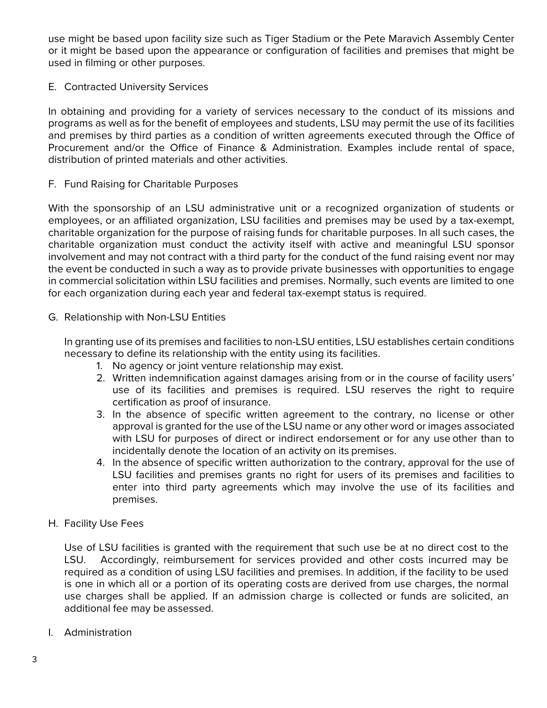use might be based upon facility size such as Tiger Stadium or the Pete Maravich Assembly Center or it might be based upon the appearance or configuration of facilities and premises that might be used in filming or other purposes.

E. Contracted University Services

In obtaining and providing for a variety of services necessary to the conduct of its missions and programs as well as for the benefit of employees and students, LSU may permit the use of its facilities and premises by third parties as a condition of written agreements executed through the Office of Procurement and/or the Office of Finance & Administration. Examples include rental of space, distribution of printed materials and other activities.

F. Fund Raising for Charitable Purposes

With the sponsorship of an LSU administrative unit or a recognized organization of students or employees, or an affiliated organization, LSU facilities and premises may be used by a tax-exempt, charitable organization for the purpose of raising funds for charitable purposes. In all such cases, the charitable organization must conduct the activity itself with active and meaningful LSU sponsor involvement and may not contract with a third party for the conduct of the fund raising event nor may the event be conducted in such a way as to provide private businesses with opportunities to engage in commercial solicitation within LSU facilities and premises. Normally, such events are limited to one for each organization during each year and federal tax-exempt status is required.

G. Relationship with Non-LSU Entities

In granting use of its premises and facilities to non-LSU entities, LSU establishes certain conditions necessary to define its relationship with the entity using its facilities.

- 1. No agency or joint venture relationship may exist.
- 2. Written indemnification against damages arising from or in the course of facility users' use of its facilities and premises is required. LSU reserves the right to require certification as proof of insurance.
- 3. In the absence of specific written agreement to the contrary, no license or other approval is granted for the use of the LSU name or any other word or images associated with LSU for purposes of direct or indirect endorsement or for any use other than to incidentally denote the location of an activity on its premises.
- 4. In the absence of specific written authorization to the contrary, approval for the use of LSU facilities and premises grants no right for users of its premises and facilities to enter into third party agreements which may involve the use of its facilities and premises.
- H. Facility Use Fees

Use of LSU facilities is granted with the requirement that such use be at no direct cost to the LSU. Accordingly, reimbursement for services provided and other costs incurred may be required as a condition of using LSU facilities and premises. In addition, if the facility to be used is one in which all or a portion of its operating costs are derived from use charges, the normal use charges shall be applied. If an admission charge is collected or funds are solicited, an additional fee may be assessed.

I. Administration